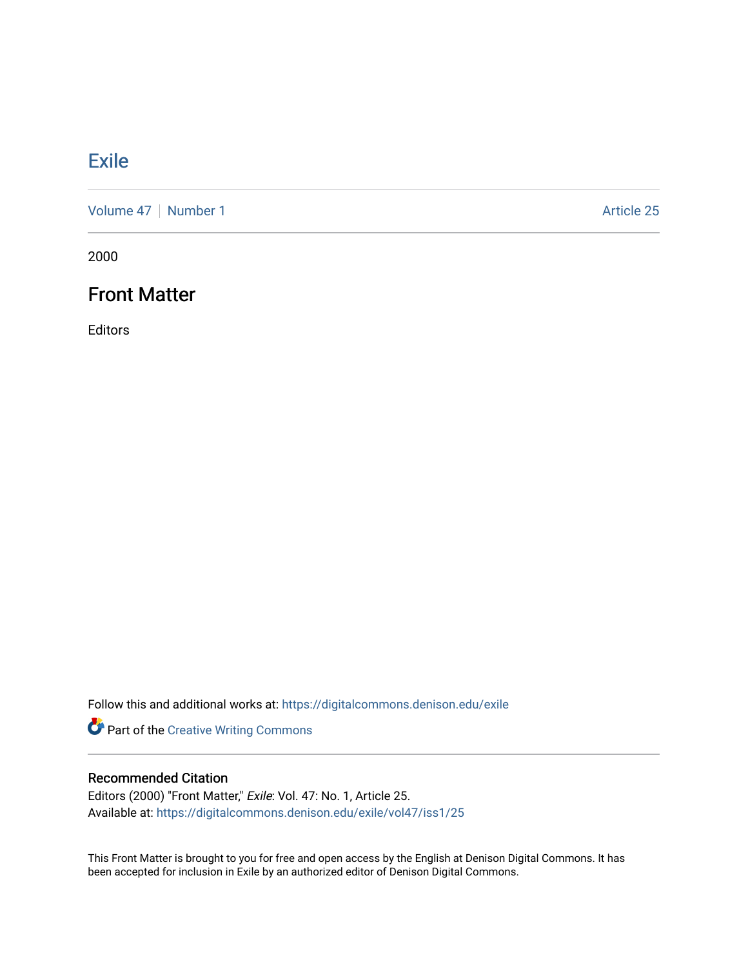# [Exile](https://digitalcommons.denison.edu/exile)

[Volume 47](https://digitalcommons.denison.edu/exile/vol47) | [Number 1](https://digitalcommons.denison.edu/exile/vol47/iss1) Article 25

2000

## Front Matter

Editors

Follow this and additional works at: [https://digitalcommons.denison.edu/exile](https://digitalcommons.denison.edu/exile?utm_source=digitalcommons.denison.edu%2Fexile%2Fvol47%2Fiss1%2F25&utm_medium=PDF&utm_campaign=PDFCoverPages) 

Part of the [Creative Writing Commons](http://network.bepress.com/hgg/discipline/574?utm_source=digitalcommons.denison.edu%2Fexile%2Fvol47%2Fiss1%2F25&utm_medium=PDF&utm_campaign=PDFCoverPages) 

### Recommended Citation

Editors (2000) "Front Matter," Exile: Vol. 47: No. 1, Article 25. Available at: [https://digitalcommons.denison.edu/exile/vol47/iss1/25](https://digitalcommons.denison.edu/exile/vol47/iss1/25?utm_source=digitalcommons.denison.edu%2Fexile%2Fvol47%2Fiss1%2F25&utm_medium=PDF&utm_campaign=PDFCoverPages)

This Front Matter is brought to you for free and open access by the English at Denison Digital Commons. It has been accepted for inclusion in Exile by an authorized editor of Denison Digital Commons.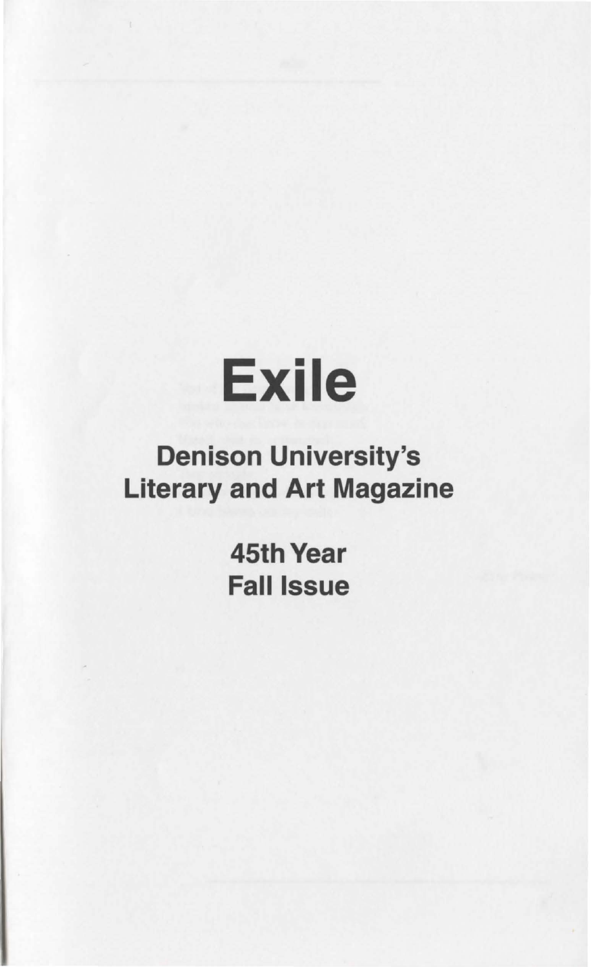# Exile

# Denison University's Literary and Art Magazine

**45th Year** Fall Issue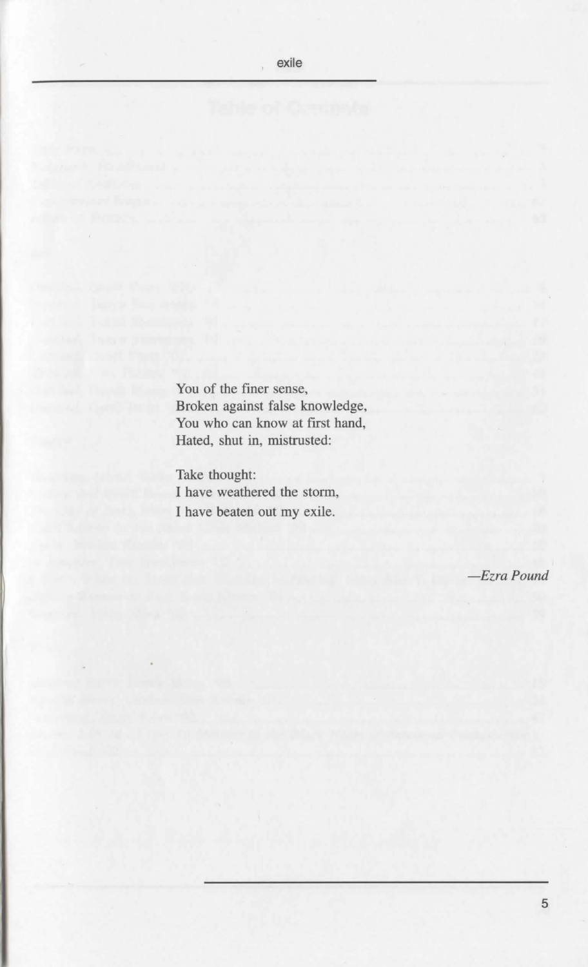You of the finer sense, Broken against false knowledge, You who can know at first hand, Hated, shut in, mistrusted:

Take thought: I have weathered the storm, I have beaten out my exile.

*-Ezra Pound*